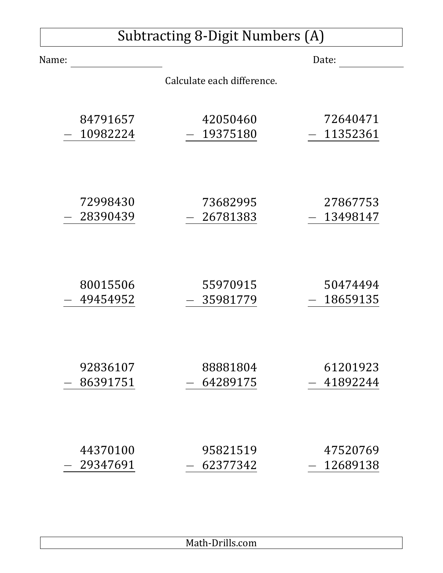| <b>Subtracting 8-Digit Numbers (A)</b> |          |                            |          |
|----------------------------------------|----------|----------------------------|----------|
| Name:                                  |          |                            | Date:    |
|                                        |          | Calculate each difference. |          |
|                                        | 84791657 | 42050460                   | 72640471 |
|                                        | 10982224 | 19375180                   | 11352361 |
|                                        | 72998430 | 73682995                   | 27867753 |
|                                        | 28390439 | 26781383                   | 13498147 |
|                                        | 80015506 | 55970915                   | 50474494 |
|                                        | 49454952 | 35981779                   | 18659135 |
|                                        | 92836107 | 88881804                   | 61201923 |
|                                        | 86391751 | 64289175                   | 41892244 |
|                                        | 44370100 | 95821519                   | 47520769 |
|                                        | 29347691 | 62377342                   | 12689138 |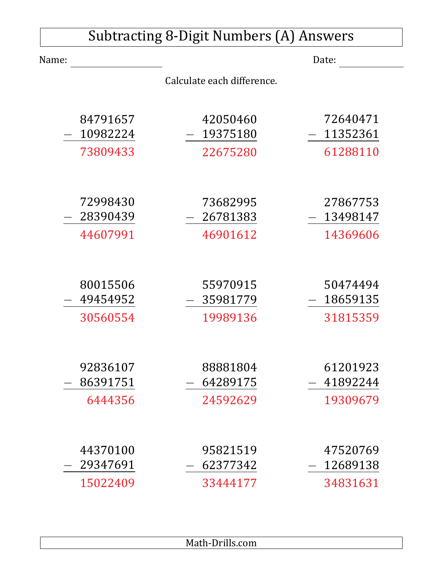|       | <b>Subtracting 8-Digit Numbers (A) Answers</b> |                            |          |  |
|-------|------------------------------------------------|----------------------------|----------|--|
| Name: |                                                |                            | Date:    |  |
|       |                                                | Calculate each difference. |          |  |
|       | 84791657                                       | 42050460                   | 72640471 |  |
|       | 10982224                                       | 19375180                   | 11352361 |  |
|       | 73809433                                       | 22675280                   | 61288110 |  |
|       |                                                |                            |          |  |
|       | 72998430                                       | 73682995                   | 27867753 |  |
|       | 28390439                                       | 26781383                   | 13498147 |  |
|       | 44607991                                       | 46901612                   | 14369606 |  |
|       |                                                |                            |          |  |
|       | 80015506                                       | 55970915                   | 50474494 |  |
|       | 49454952                                       | 35981779                   | 18659135 |  |
|       | 30560554                                       | 19989136                   | 31815359 |  |
|       |                                                |                            |          |  |
|       | 92836107                                       | 88881804                   | 61201923 |  |
|       | 86391751                                       | 64289175                   | 41892244 |  |
|       | 6444356                                        | 24592629                   | 19309679 |  |
|       |                                                |                            |          |  |
|       | 44370100                                       | 95821519                   | 47520769 |  |
|       | 29347691                                       | 62377342                   | 12689138 |  |
|       | 15022409                                       | 33444177                   | 34831631 |  |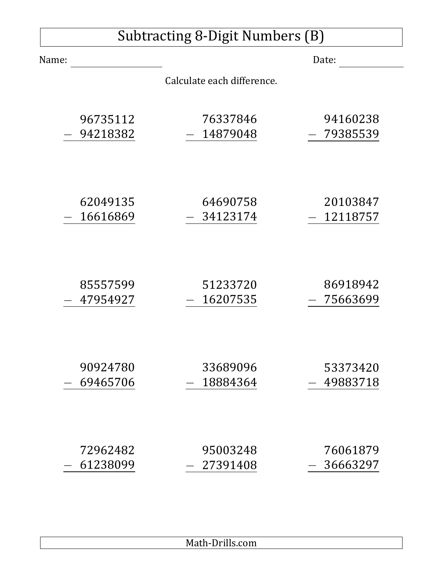| Subtracting 8-Digit Numbers (B) |          |                            |          |
|---------------------------------|----------|----------------------------|----------|
| Name:                           |          |                            | Date:    |
|                                 |          | Calculate each difference. |          |
|                                 | 96735112 | 76337846                   | 94160238 |
|                                 | 94218382 | 14879048                   | 79385539 |
|                                 | 62049135 | 64690758                   | 20103847 |
|                                 | 16616869 | 34123174                   | 12118757 |
|                                 | 85557599 | 51233720                   | 86918942 |
|                                 | 47954927 | 16207535                   | 75663699 |
|                                 | 90924780 | 33689096                   | 53373420 |
|                                 | 69465706 | 18884364                   | 49883718 |
|                                 | 72962482 | 95003248                   | 76061879 |
|                                 | 61238099 | 27391408                   | 36663297 |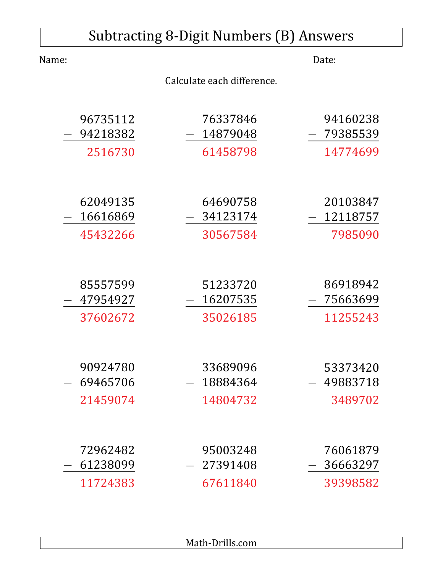| <b>Subtracting 8-Digit Numbers (B) Answers</b> |          |                            |          |
|------------------------------------------------|----------|----------------------------|----------|
| Name:                                          |          |                            | Date:    |
|                                                |          | Calculate each difference. |          |
|                                                | 96735112 | 76337846                   | 94160238 |
|                                                | 94218382 | 14879048                   | 79385539 |
|                                                | 2516730  | 61458798                   | 14774699 |
|                                                |          |                            |          |
|                                                | 62049135 | 64690758                   | 20103847 |
|                                                | 16616869 | 34123174                   | 12118757 |
|                                                | 45432266 | 30567584                   | 7985090  |
|                                                |          |                            |          |
|                                                | 85557599 | 51233720                   | 86918942 |
|                                                | 47954927 | 16207535                   | 75663699 |
|                                                | 37602672 | 35026185                   | 11255243 |
|                                                |          |                            |          |
|                                                | 90924780 | 33689096                   | 53373420 |
|                                                | 69465706 | 18884364                   | 49883718 |
|                                                | 21459074 | 14804732                   | 3489702  |
|                                                |          |                            |          |
|                                                | 72962482 | 95003248                   | 76061879 |
|                                                | 61238099 | 27391408                   | 36663297 |
|                                                | 11724383 | 67611840                   | 39398582 |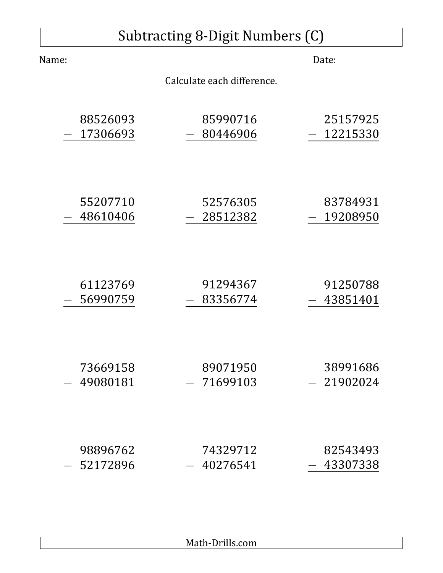| <b>Subtracting 8-Digit Numbers (C)</b> |          |                            |          |
|----------------------------------------|----------|----------------------------|----------|
| Name:                                  |          |                            | Date:    |
|                                        |          | Calculate each difference. |          |
|                                        | 88526093 | 85990716                   | 25157925 |
|                                        | 17306693 | 80446906                   | 12215330 |
|                                        | 55207710 | 52576305                   | 83784931 |
|                                        | 48610406 | 28512382                   | 19208950 |
|                                        | 61123769 | 91294367                   | 91250788 |
|                                        | 56990759 | 83356774                   | 43851401 |
|                                        | 73669158 | 89071950                   | 38991686 |
|                                        | 49080181 | 71699103                   | 21902024 |
|                                        | 98896762 | 74329712                   | 82543493 |
|                                        | 52172896 | 40276541                   | 43307338 |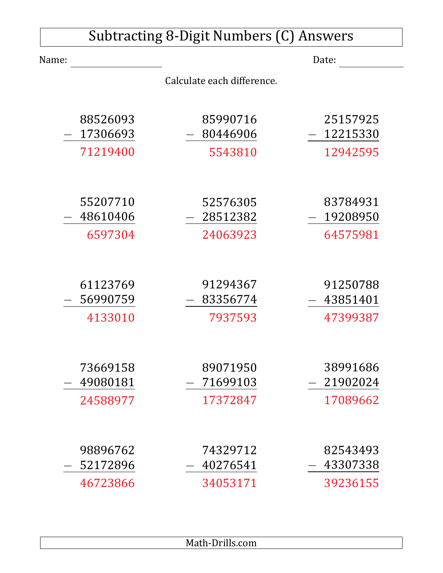|       |          | Subtracting 8-Digit Numbers (C) Answers |          |
|-------|----------|-----------------------------------------|----------|
| Name: |          |                                         | Date:    |
|       |          | Calculate each difference.              |          |
|       |          |                                         |          |
|       | 88526093 | 85990716                                | 25157925 |
|       | 17306693 | 80446906                                | 12215330 |
|       | 71219400 | 5543810                                 | 12942595 |
|       |          |                                         |          |
|       | 55207710 | 52576305                                | 83784931 |
|       | 48610406 | 28512382                                | 19208950 |
|       | 6597304  | 24063923                                | 64575981 |
|       |          |                                         |          |
|       | 61123769 | 91294367                                | 91250788 |
|       | 56990759 | 83356774                                | 43851401 |
|       | 4133010  | 7937593                                 | 47399387 |
|       |          |                                         |          |
|       | 73669158 | 89071950                                | 38991686 |
|       | 49080181 | 71699103                                | 21902024 |
|       | 24588977 | 17372847                                | 17089662 |
|       |          |                                         |          |
|       | 98896762 | 74329712                                | 82543493 |
|       | 52172896 | 40276541                                | 43307338 |
|       | 46723866 | 34053171                                | 39236155 |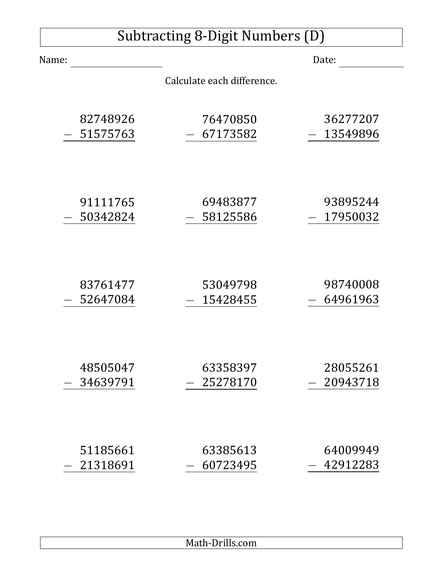|       |          | Subtracting 8-Digit Numbers (D) |          |
|-------|----------|---------------------------------|----------|
| Name: |          |                                 | Date:    |
|       |          | Calculate each difference.      |          |
|       | 82748926 | 76470850                        | 36277207 |
|       | 51575763 | 67173582                        | 13549896 |
|       | 91111765 | 69483877                        | 93895244 |
|       | 50342824 | 58125586                        | 17950032 |
|       | 83761477 | 53049798                        | 98740008 |
|       | 52647084 | 15428455                        | 64961963 |
|       | 48505047 | 63358397                        | 28055261 |
|       | 34639791 | 25278170                        | 20943718 |
|       | 51185661 | 63385613                        | 64009949 |
|       | 21318691 | 60723495                        | 42912283 |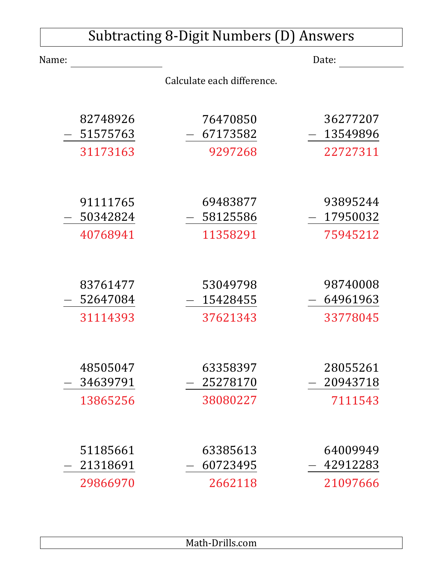| Subtracting 8-Digit Numbers (D) Answers |          |                            |          |
|-----------------------------------------|----------|----------------------------|----------|
| Name:                                   |          |                            | Date:    |
|                                         |          | Calculate each difference. |          |
|                                         |          |                            |          |
|                                         | 82748926 | 76470850                   | 36277207 |
|                                         | 51575763 | 67173582                   | 13549896 |
|                                         | 31173163 | 9297268                    | 22727311 |
|                                         |          |                            |          |
|                                         | 91111765 | 69483877                   | 93895244 |
|                                         | 50342824 | 58125586                   | 17950032 |
|                                         | 40768941 | 11358291                   | 75945212 |
|                                         |          |                            |          |
|                                         | 83761477 | 53049798                   | 98740008 |
|                                         | 52647084 | 15428455                   | 64961963 |
|                                         | 31114393 | 37621343                   | 33778045 |
|                                         |          |                            |          |
|                                         | 48505047 | 63358397                   | 28055261 |
|                                         | 34639791 | 25278170                   | 20943718 |
|                                         | 13865256 | 38080227                   | 7111543  |
|                                         |          |                            |          |
|                                         | 51185661 | 63385613                   | 64009949 |
|                                         | 21318691 | 60723495                   | 42912283 |
|                                         | 29866970 | 2662118                    | 21097666 |

Math-Drills.com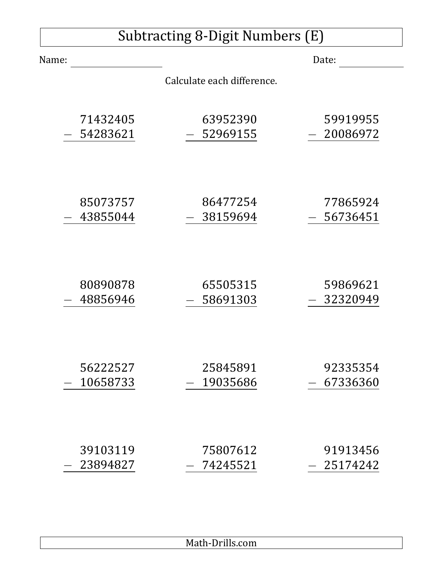| <b>Subtracting 8-Digit Numbers (E)</b> |          |                            |          |
|----------------------------------------|----------|----------------------------|----------|
| Name:                                  |          |                            | Date:    |
|                                        |          | Calculate each difference. |          |
|                                        | 71432405 | 63952390                   | 59919955 |
|                                        | 54283621 | 52969155                   | 20086972 |
|                                        | 85073757 | 86477254                   | 77865924 |
|                                        | 43855044 | 38159694                   | 56736451 |
|                                        | 80890878 | 65505315                   | 59869621 |
|                                        | 48856946 | 58691303                   | 32320949 |
|                                        | 56222527 | 25845891                   | 92335354 |
|                                        | 10658733 | 19035686                   | 67336360 |
|                                        | 39103119 | 75807612                   | 91913456 |
|                                        | 23894827 | 74245521                   | 25174242 |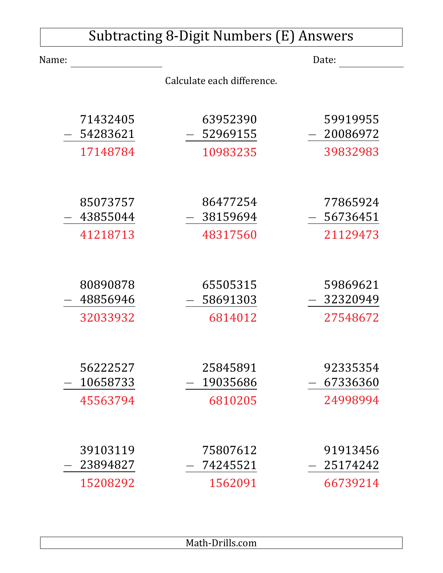| <b>Subtracting 8-Digit Numbers (E) Answers</b> |                            |          |  |
|------------------------------------------------|----------------------------|----------|--|
| Name:                                          |                            | Date:    |  |
|                                                | Calculate each difference. |          |  |
|                                                |                            |          |  |
| 71432405                                       | 63952390                   | 59919955 |  |
| 54283621                                       | 52969155                   | 20086972 |  |
| 17148784                                       | 10983235                   | 39832983 |  |
|                                                |                            |          |  |
| 85073757                                       | 86477254                   | 77865924 |  |
| 43855044                                       | 38159694                   | 56736451 |  |
| 41218713                                       | 48317560                   | 21129473 |  |
|                                                |                            |          |  |
| 80890878                                       | 65505315                   | 59869621 |  |
| 48856946                                       | 58691303                   | 32320949 |  |
| 32033932                                       | 6814012                    | 27548672 |  |
|                                                |                            |          |  |
| 56222527                                       | 25845891                   | 92335354 |  |
| 10658733                                       | 19035686                   | 67336360 |  |
| 45563794                                       | 6810205                    | 24998994 |  |
|                                                |                            |          |  |
| 39103119                                       | 75807612                   | 91913456 |  |
| 23894827                                       | 74245521                   | 25174242 |  |
| 15208292                                       | 1562091                    | 66739214 |  |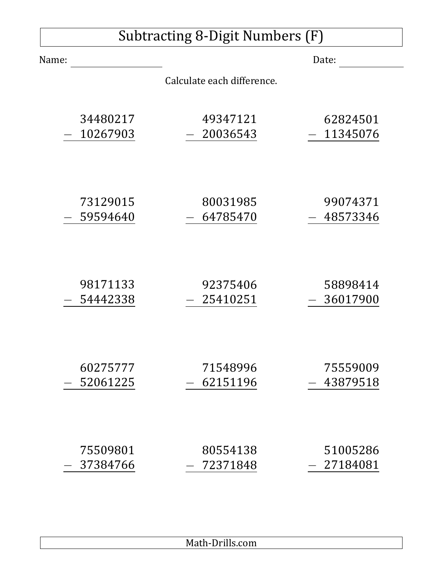|       | Subtracting 8-Digit Numbers (F) |                            |          |  |
|-------|---------------------------------|----------------------------|----------|--|
| Name: |                                 |                            | Date:    |  |
|       |                                 | Calculate each difference. |          |  |
|       | 34480217                        | 49347121                   | 62824501 |  |
|       | 10267903                        | 20036543                   | 11345076 |  |
|       | 73129015                        | 80031985                   | 99074371 |  |
|       | 59594640                        | 64785470                   | 48573346 |  |
|       | 98171133                        | 92375406                   | 58898414 |  |
|       | 54442338                        | 25410251                   | 36017900 |  |
|       | 60275777                        | 71548996                   | 75559009 |  |
|       | 52061225                        | 62151196                   | 43879518 |  |
|       | 75509801                        | 80554138                   | 51005286 |  |
|       | 37384766                        | 72371848                   | 27184081 |  |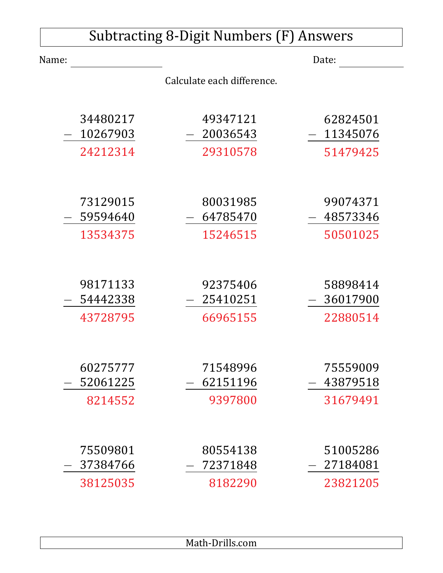| <b>Subtracting 8-Digit Numbers (F) Answers</b> |                     |                            |                      |
|------------------------------------------------|---------------------|----------------------------|----------------------|
| Name:                                          |                     |                            | Date:                |
|                                                |                     | Calculate each difference. |                      |
|                                                | 34480217            | 49347121                   | 62824501             |
|                                                | 10267903            | 20036543                   | 11345076             |
|                                                | 24212314            | 29310578                   | 51479425             |
|                                                | 73129015            | 80031985                   | 99074371             |
|                                                | 59594640            | 64785470                   | 48573346             |
|                                                | 13534375            | 15246515                   | 50501025             |
|                                                | 98171133            | 92375406                   | 58898414             |
|                                                | 54442338            | 25410251                   | 36017900             |
|                                                | 43728795            | 66965155                   | 22880514             |
|                                                | 60275777            | 71548996                   | 75559009             |
|                                                | 52061225<br>8214552 | 62151196<br>9397800        | 43879518<br>31679491 |
|                                                |                     |                            |                      |
|                                                | 75509801            | 80554138                   | 51005286             |
|                                                | 37384766            | 72371848                   | 27184081             |
|                                                | 38125035            | 8182290                    | 23821205             |

Math-Drills.com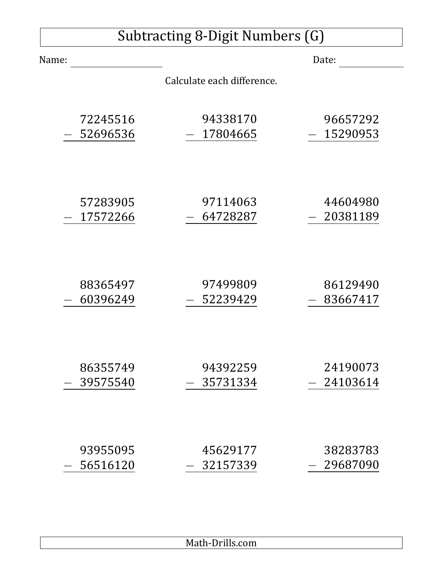| Subtracting 8-Digit Numbers (G) |                            |          |  |
|---------------------------------|----------------------------|----------|--|
| Name:                           |                            | Date:    |  |
|                                 | Calculate each difference. |          |  |
| 72245516                        | 94338170                   | 96657292 |  |
| 52696536                        | 17804665                   | 15290953 |  |
| 57283905                        | 97114063                   | 44604980 |  |
| 17572266                        | 64728287                   | 20381189 |  |
| 88365497                        | 97499809                   | 86129490 |  |
| 60396249                        | 52239429                   | 83667417 |  |
| 86355749                        | 94392259                   | 24190073 |  |
| 39575540                        | 35731334                   | 24103614 |  |
| 93955095                        | 45629177                   | 38283783 |  |
| 56516120                        | 32157339                   | 29687090 |  |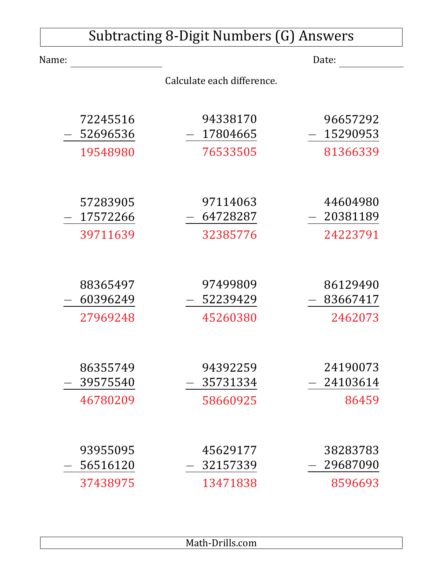| <b>Subtracting 8-Digit Numbers (G) Answers</b> |                            |                      |  |
|------------------------------------------------|----------------------------|----------------------|--|
| Name:                                          |                            | Date:                |  |
|                                                | Calculate each difference. |                      |  |
| 72245516                                       | 94338170                   | 96657292             |  |
| 52696536<br>19548980                           | 17804665<br>76533505       | 15290953<br>81366339 |  |
|                                                |                            |                      |  |
| 57283905<br>17572266                           | 97114063<br>64728287       | 44604980<br>20381189 |  |
| 39711639                                       | 32385776                   | 24223791             |  |
| 88365497                                       | 97499809                   | 86129490             |  |
| 60396249                                       | 52239429                   | 83667417             |  |
| 27969248                                       | 45260380                   | 2462073              |  |
| 86355749                                       | 94392259                   | 24190073             |  |
| 39575540                                       | 35731334                   | 24103614             |  |
| 46780209                                       | 58660925                   | 86459                |  |
| 93955095                                       | 45629177                   | 38283783             |  |
| 56516120                                       | 32157339                   | 29687090             |  |
| 37438975                                       | 13471838                   | 8596693              |  |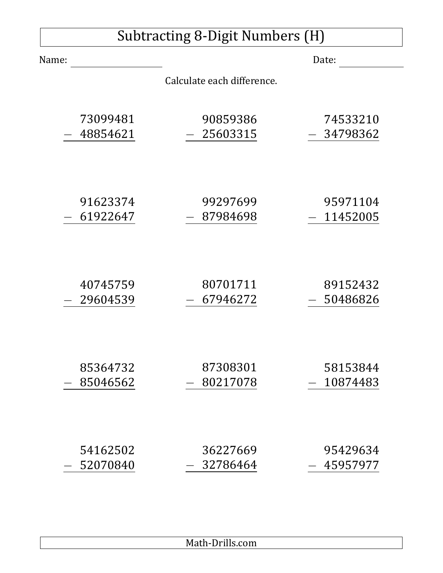| <b>Subtracting 8-Digit Numbers (H)</b> |                            |          |  |
|----------------------------------------|----------------------------|----------|--|
| Name:                                  |                            | Date:    |  |
|                                        | Calculate each difference. |          |  |
| 73099481                               | 90859386                   | 74533210 |  |
| 48854621                               | 25603315                   | 34798362 |  |
| 91623374                               | 99297699                   | 95971104 |  |
| 61922647                               | 87984698                   | 11452005 |  |
| 40745759                               | 80701711                   | 89152432 |  |
| 29604539                               | 67946272                   | 50486826 |  |
| 85364732                               | 87308301                   | 58153844 |  |
| 85046562                               | 80217078                   | 10874483 |  |
| 54162502                               | 36227669                   | 95429634 |  |
| 52070840                               | 32786464                   | 45957977 |  |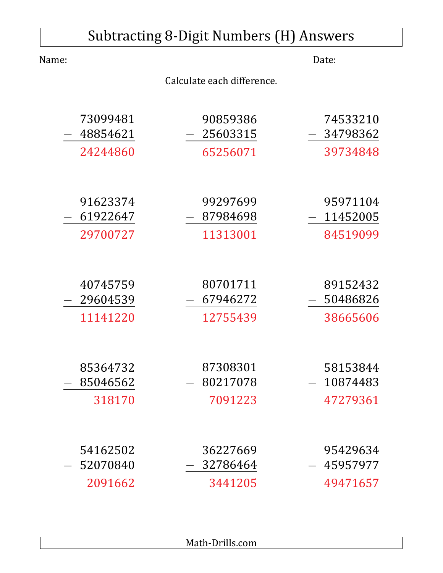| <b>Subtracting 8-Digit Numbers (H) Answers</b> |          |                            |          |
|------------------------------------------------|----------|----------------------------|----------|
| Name:                                          |          |                            | Date:    |
|                                                |          | Calculate each difference. |          |
|                                                |          |                            |          |
|                                                | 73099481 | 90859386                   | 74533210 |
|                                                | 48854621 | 25603315                   | 34798362 |
|                                                | 24244860 | 65256071                   | 39734848 |
|                                                |          |                            |          |
|                                                | 91623374 | 99297699                   | 95971104 |
|                                                | 61922647 | 87984698                   | 11452005 |
|                                                | 29700727 | 11313001                   | 84519099 |
|                                                |          |                            |          |
|                                                | 40745759 | 80701711                   | 89152432 |
|                                                | 29604539 | 67946272                   | 50486826 |
|                                                | 11141220 | 12755439                   | 38665606 |
|                                                |          |                            |          |
|                                                | 85364732 | 87308301                   | 58153844 |
|                                                | 85046562 | 80217078                   | 10874483 |
|                                                | 318170   | 7091223                    | 47279361 |
|                                                |          |                            |          |
|                                                | 54162502 | 36227669                   | 95429634 |
|                                                | 52070840 | 32786464                   | 45957977 |
|                                                | 2091662  | 3441205                    | 49471657 |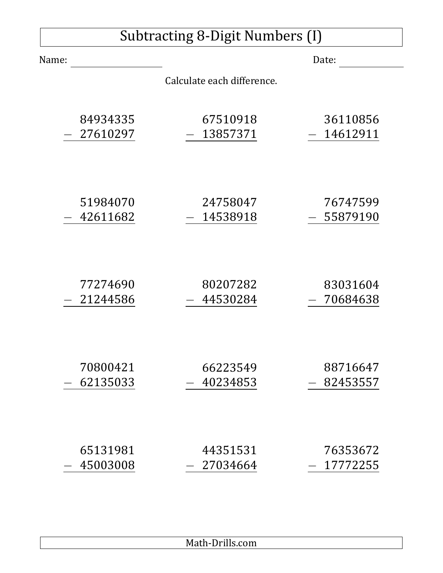## Subtracting 8-Digit Numbers (I)

| Name:       |                            | Date:    |
|-------------|----------------------------|----------|
|             | Calculate each difference. |          |
| 84934335    | 67510918                   | 36110856 |
| - 27610297  | 13857371                   | 14612911 |
| 51984070    | 24758047                   | 76747599 |
| 42611682    | 14538918                   | 55879190 |
| 77274690    | 80207282                   | 83031604 |
| $-21244586$ | 44530284                   | 70684638 |
| 70800421    | 66223549                   | 88716647 |
| 62135033    | 40234853                   | 82453557 |
| 65131981    | 44351531                   | 76353672 |
| 45003008    | 27034664                   | 17772255 |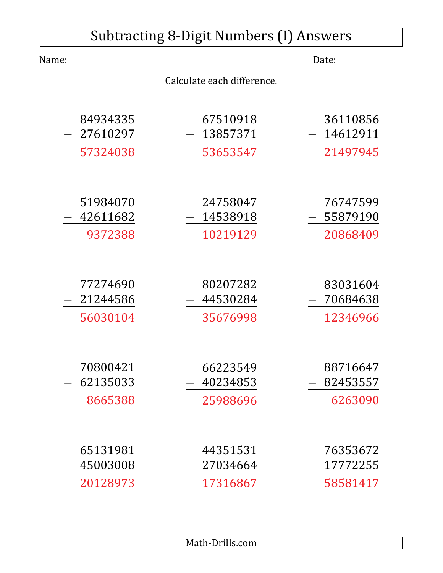| Subtracting 8-Digit Numbers (I) Answers |          |                            |          |
|-----------------------------------------|----------|----------------------------|----------|
| Name:                                   |          |                            | Date:    |
|                                         |          | Calculate each difference. |          |
|                                         | 84934335 | 67510918                   | 36110856 |
|                                         | 27610297 | 13857371                   | 14612911 |
|                                         | 57324038 | 53653547                   | 21497945 |
|                                         |          |                            |          |
|                                         | 51984070 | 24758047                   | 76747599 |
|                                         | 42611682 | 14538918                   | 55879190 |
|                                         | 9372388  | 10219129                   | 20868409 |
|                                         |          |                            |          |
|                                         | 77274690 | 80207282                   | 83031604 |
|                                         | 21244586 | 44530284                   | 70684638 |
|                                         | 56030104 | 35676998                   | 12346966 |
|                                         |          |                            |          |
|                                         | 70800421 | 66223549                   | 88716647 |
|                                         | 62135033 | 40234853                   | 82453557 |
|                                         | 8665388  | 25988696                   | 6263090  |
|                                         |          |                            |          |
|                                         | 65131981 | 44351531                   | 76353672 |
|                                         | 45003008 | 27034664                   | 17772255 |
|                                         | 20128973 | 17316867                   | 58581417 |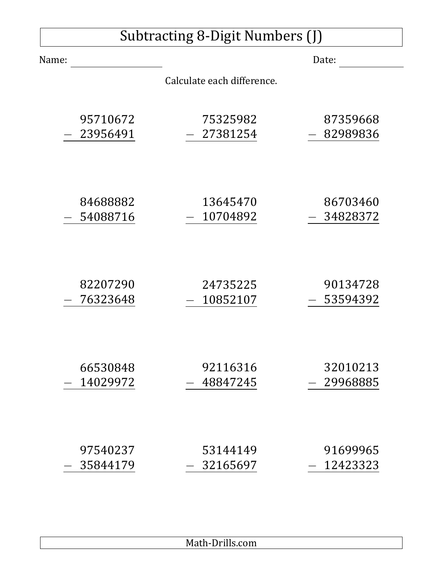## Subtracting 8-Digit Numbers (J)

| Name:    |                            | Date:    |
|----------|----------------------------|----------|
|          | Calculate each difference. |          |
| 95710672 | 75325982                   | 87359668 |
| 23956491 | 27381254                   | 82989836 |
| 84688882 | 13645470                   | 86703460 |
| 54088716 | 10704892                   | 34828372 |
| 82207290 | 24735225                   | 90134728 |
| 76323648 | 10852107                   | 53594392 |
| 66530848 | 92116316                   | 32010213 |
| 14029972 | 48847245                   | 29968885 |
| 97540237 | 53144149                   | 91699965 |
| 35844179 | 32165697                   | 12423323 |